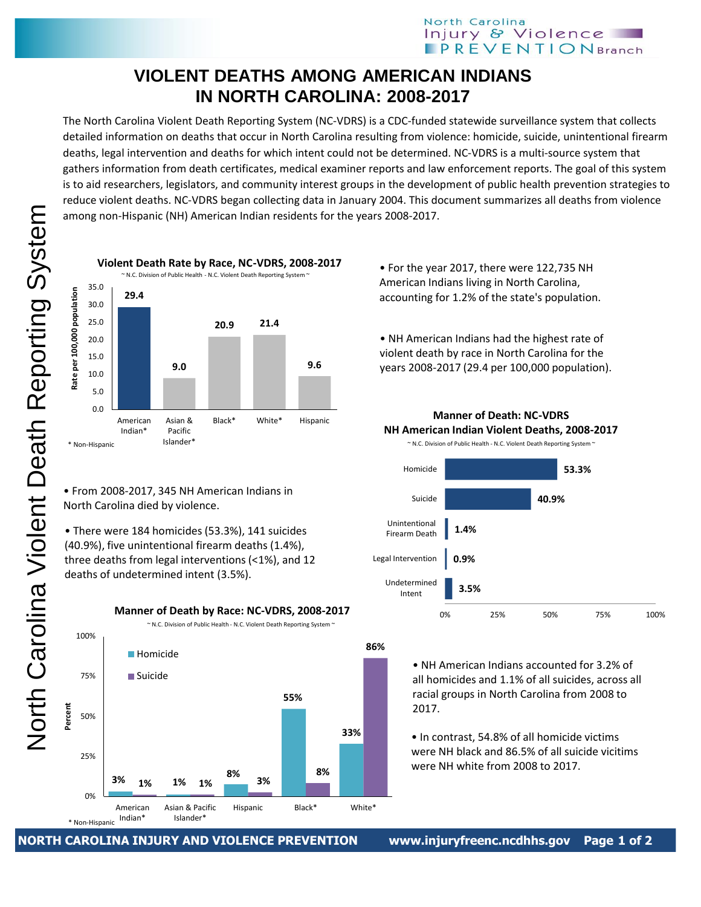## North Carolina Injury & Violence **IPREVENTIONBranch**

## **VIOLENT DEATHS AMONG AMERICAN INDIANS IN NORTH CAROLINA: 2008-2017**

The North Carolina Violent Death Reporting System (NC-VDRS) is a CDC-funded statewide surveillance system that collects detailed information on deaths that occur in North Carolina resulting from violence: homicide, suicide, unintentional firearm deaths, legal intervention and deaths for which intent could not be determined. NC-VDRS is a multi-source system that gathers information from death certificates, medical examiner reports and law enforcement reports. The goal of this system is to aid researchers, legislators, and community interest groups in the development of public health prevention strategies to reduce violent deaths. NC-VDRS began collecting data in January 2004. This document summarizes all deaths from violence among non-Hispanic (NH) American Indian residents for the years 2008-2017.



• From 2008-2017, 345 NH American Indians in North Carolina died by violence.

• There were 184 homicides (53.3%), 141 suicides (40.9%), five unintentional firearm deaths (1.4%), three deaths from legal interventions (<1%), and 12 deaths of undetermined intent (3.5%).

\* Non-Hispanic **3% 1% 8% 55% 33% 1% 1% 3% 8% 86%** 0% 25% 50% 75% 100% American Indian\* Asian & Pacific Islander\* Hispanic Black\* White\* **Percent Homicide Suicide** ~ N.C. Division of Public Health - N.C. Violent Death Reporting System ~

**Manner of Death by Race: NC-VDRS, 2008-2017**

• For the year 2017, there were 122,735 NH American Indians living in North Carolina, accounting for 1.2% of the state's population.

• NH American Indians had the highest rate of violent death by race in North Carolina for the years 2008-2017 (29.4 per 100,000 population).

**Manner of Death: NC-VDRS NH American Indian Violent Deaths, 2008-2017**



• NH American Indians accounted for 3.2% of all homicides and 1.1% of all suicides, across all racial groups in North Carolina from 2008 to 2017.

• In contrast, 54.8% of all homicide victims were NH black and 86.5% of all suicide vicitims were NH white from 2008 to 2017.